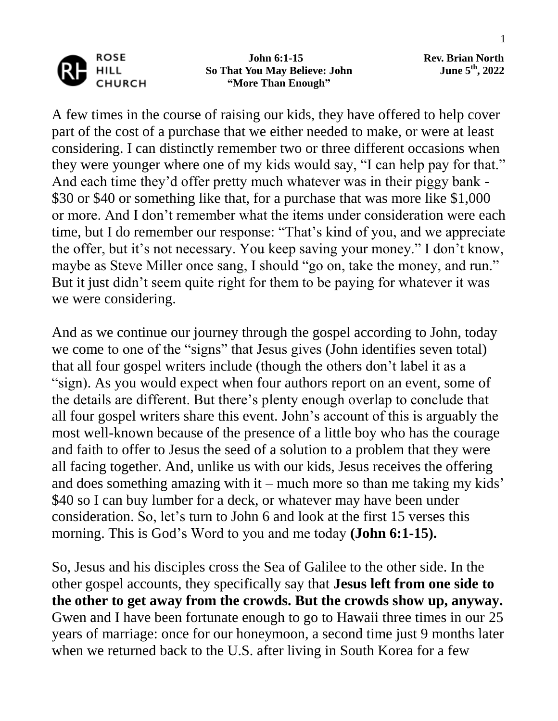

 **John 6:1-15 Rev. Brian North So That You May Believe: John "More Than Enough"**

**th , 2022**

A few times in the course of raising our kids, they have offered to help cover part of the cost of a purchase that we either needed to make, or were at least considering. I can distinctly remember two or three different occasions when they were younger where one of my kids would say, "I can help pay for that." And each time they'd offer pretty much whatever was in their piggy bank - \$30 or \$40 or something like that, for a purchase that was more like \$1,000 or more. And I don't remember what the items under consideration were each time, but I do remember our response: "That's kind of you, and we appreciate the offer, but it's not necessary. You keep saving your money." I don't know, maybe as Steve Miller once sang, I should "go on, take the money, and run." But it just didn't seem quite right for them to be paying for whatever it was we were considering.

And as we continue our journey through the gospel according to John, today we come to one of the "signs" that Jesus gives (John identifies seven total) that all four gospel writers include (though the others don't label it as a "sign). As you would expect when four authors report on an event, some of the details are different. But there's plenty enough overlap to conclude that all four gospel writers share this event. John's account of this is arguably the most well-known because of the presence of a little boy who has the courage and faith to offer to Jesus the seed of a solution to a problem that they were all facing together. And, unlike us with our kids, Jesus receives the offering and does something amazing with it – much more so than me taking my kids' \$40 so I can buy lumber for a deck, or whatever may have been under consideration. So, let's turn to John 6 and look at the first 15 verses this morning. This is God's Word to you and me today **(John 6:1-15).**

So, Jesus and his disciples cross the Sea of Galilee to the other side. In the other gospel accounts, they specifically say that **Jesus left from one side to the other to get away from the crowds. But the crowds show up, anyway.**  Gwen and I have been fortunate enough to go to Hawaii three times in our 25 years of marriage: once for our honeymoon, a second time just 9 months later when we returned back to the U.S. after living in South Korea for a few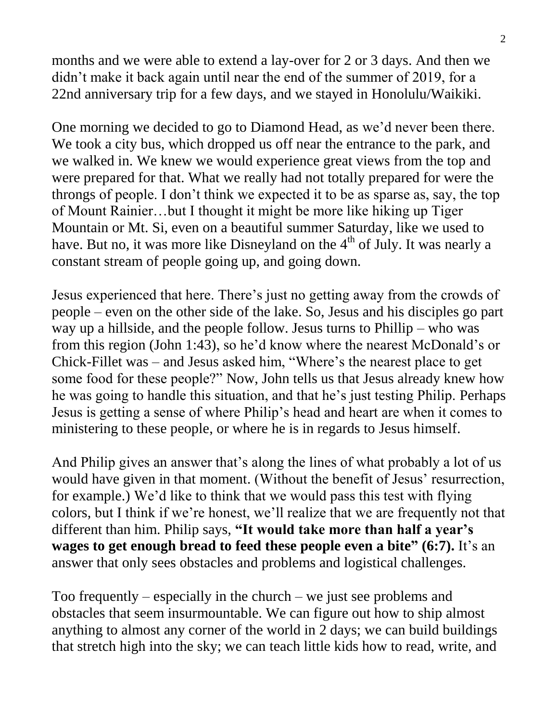months and we were able to extend a lay-over for 2 or 3 days. And then we didn't make it back again until near the end of the summer of 2019, for a 22nd anniversary trip for a few days, and we stayed in Honolulu/Waikiki.

One morning we decided to go to Diamond Head, as we'd never been there. We took a city bus, which dropped us off near the entrance to the park, and we walked in. We knew we would experience great views from the top and were prepared for that. What we really had not totally prepared for were the throngs of people. I don't think we expected it to be as sparse as, say, the top of Mount Rainier…but I thought it might be more like hiking up Tiger Mountain or Mt. Si, even on a beautiful summer Saturday, like we used to have. But no, it was more like Disneyland on the  $4<sup>th</sup>$  of July. It was nearly a constant stream of people going up, and going down.

Jesus experienced that here. There's just no getting away from the crowds of people – even on the other side of the lake. So, Jesus and his disciples go part way up a hillside, and the people follow. Jesus turns to Phillip – who was from this region (John 1:43), so he'd know where the nearest McDonald's or Chick-Fillet was – and Jesus asked him, "Where's the nearest place to get some food for these people?" Now, John tells us that Jesus already knew how he was going to handle this situation, and that he's just testing Philip. Perhaps Jesus is getting a sense of where Philip's head and heart are when it comes to ministering to these people, or where he is in regards to Jesus himself.

And Philip gives an answer that's along the lines of what probably a lot of us would have given in that moment. (Without the benefit of Jesus' resurrection, for example.) We'd like to think that we would pass this test with flying colors, but I think if we're honest, we'll realize that we are frequently not that different than him. Philip says, **"It would take more than half a year's wages to get enough bread to feed these people even a bite" (6:7).** It's an answer that only sees obstacles and problems and logistical challenges.

Too frequently – especially in the church – we just see problems and obstacles that seem insurmountable. We can figure out how to ship almost anything to almost any corner of the world in 2 days; we can build buildings that stretch high into the sky; we can teach little kids how to read, write, and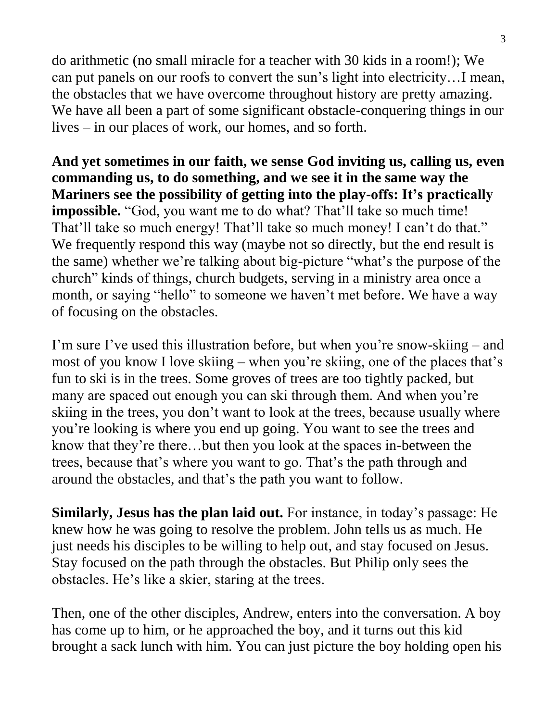do arithmetic (no small miracle for a teacher with 30 kids in a room!); We can put panels on our roofs to convert the sun's light into electricity…I mean, the obstacles that we have overcome throughout history are pretty amazing. We have all been a part of some significant obstacle-conquering things in our lives – in our places of work, our homes, and so forth.

**And yet sometimes in our faith, we sense God inviting us, calling us, even commanding us, to do something, and we see it in the same way the Mariners see the possibility of getting into the play-offs: It's practically impossible.** "God, you want me to do what? That'll take so much time! That'll take so much energy! That'll take so much money! I can't do that." We frequently respond this way (maybe not so directly, but the end result is the same) whether we're talking about big-picture "what's the purpose of the church" kinds of things, church budgets, serving in a ministry area once a month, or saying "hello" to someone we haven't met before. We have a way of focusing on the obstacles.

I'm sure I've used this illustration before, but when you're snow-skiing – and most of you know I love skiing – when you're skiing, one of the places that's fun to ski is in the trees. Some groves of trees are too tightly packed, but many are spaced out enough you can ski through them. And when you're skiing in the trees, you don't want to look at the trees, because usually where you're looking is where you end up going. You want to see the trees and know that they're there…but then you look at the spaces in-between the trees, because that's where you want to go. That's the path through and around the obstacles, and that's the path you want to follow.

**Similarly, Jesus has the plan laid out.** For instance, in today's passage: He knew how he was going to resolve the problem. John tells us as much. He just needs his disciples to be willing to help out, and stay focused on Jesus. Stay focused on the path through the obstacles. But Philip only sees the obstacles. He's like a skier, staring at the trees.

Then, one of the other disciples, Andrew, enters into the conversation. A boy has come up to him, or he approached the boy, and it turns out this kid brought a sack lunch with him. You can just picture the boy holding open his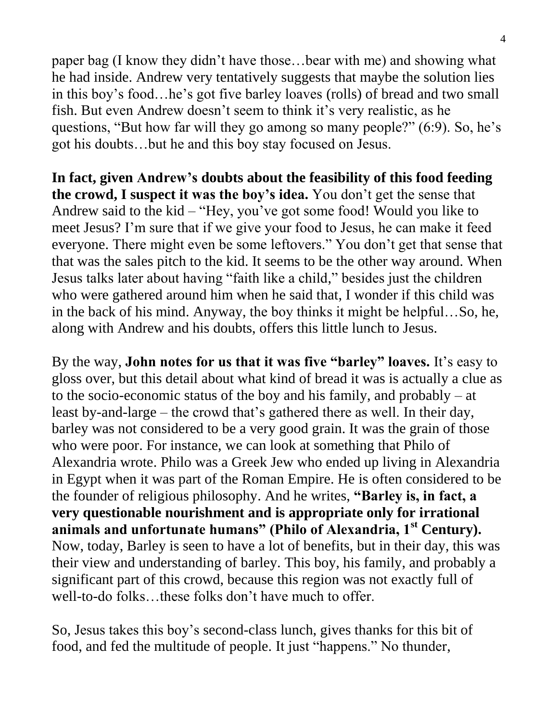paper bag (I know they didn't have those…bear with me) and showing what he had inside. Andrew very tentatively suggests that maybe the solution lies in this boy's food…he's got five barley loaves (rolls) of bread and two small fish. But even Andrew doesn't seem to think it's very realistic, as he questions, "But how far will they go among so many people?" (6:9). So, he's got his doubts…but he and this boy stay focused on Jesus.

**In fact, given Andrew's doubts about the feasibility of this food feeding the crowd, I suspect it was the boy's idea.** You don't get the sense that Andrew said to the kid – "Hey, you've got some food! Would you like to meet Jesus? I'm sure that if we give your food to Jesus, he can make it feed everyone. There might even be some leftovers." You don't get that sense that that was the sales pitch to the kid. It seems to be the other way around. When Jesus talks later about having "faith like a child," besides just the children who were gathered around him when he said that, I wonder if this child was in the back of his mind. Anyway, the boy thinks it might be helpful…So, he, along with Andrew and his doubts, offers this little lunch to Jesus.

By the way, **John notes for us that it was five "barley" loaves.** It's easy to gloss over, but this detail about what kind of bread it was is actually a clue as to the socio-economic status of the boy and his family, and probably – at least by-and-large – the crowd that's gathered there as well. In their day, barley was not considered to be a very good grain. It was the grain of those who were poor. For instance, we can look at something that Philo of Alexandria wrote. Philo was a Greek Jew who ended up living in Alexandria in Egypt when it was part of the Roman Empire. He is often considered to be the founder of religious philosophy. And he writes, **"Barley is, in fact, a very questionable nourishment and is appropriate only for irrational animals and unfortunate humans" (Philo of Alexandria, 1st Century).** Now, today, Barley is seen to have a lot of benefits, but in their day, this was their view and understanding of barley. This boy, his family, and probably a significant part of this crowd, because this region was not exactly full of well-to-do folks…these folks don't have much to offer.

So, Jesus takes this boy's second-class lunch, gives thanks for this bit of food, and fed the multitude of people. It just "happens." No thunder,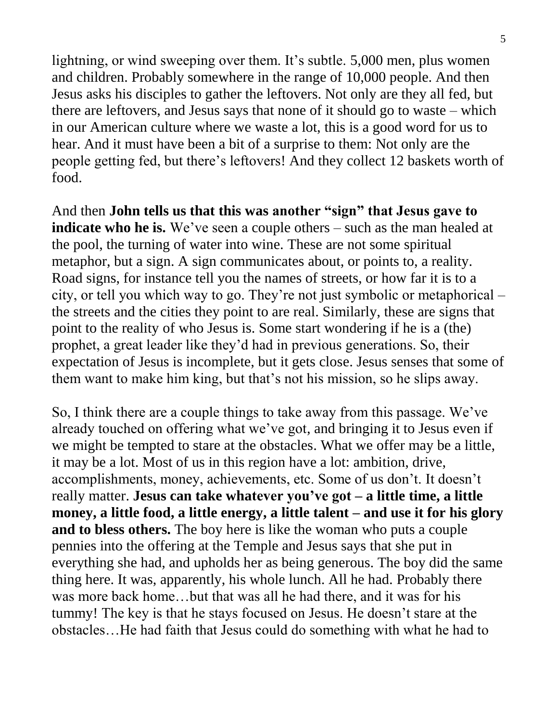lightning, or wind sweeping over them. It's subtle. 5,000 men, plus women and children. Probably somewhere in the range of 10,000 people. And then Jesus asks his disciples to gather the leftovers. Not only are they all fed, but there are leftovers, and Jesus says that none of it should go to waste – which in our American culture where we waste a lot, this is a good word for us to hear. And it must have been a bit of a surprise to them: Not only are the people getting fed, but there's leftovers! And they collect 12 baskets worth of food.

And then **John tells us that this was another "sign" that Jesus gave to indicate who he is.** We've seen a couple others – such as the man healed at the pool, the turning of water into wine. These are not some spiritual metaphor, but a sign. A sign communicates about, or points to, a reality. Road signs, for instance tell you the names of streets, or how far it is to a city, or tell you which way to go. They're not just symbolic or metaphorical – the streets and the cities they point to are real. Similarly, these are signs that point to the reality of who Jesus is. Some start wondering if he is a (the) prophet, a great leader like they'd had in previous generations. So, their expectation of Jesus is incomplete, but it gets close. Jesus senses that some of them want to make him king, but that's not his mission, so he slips away.

So, I think there are a couple things to take away from this passage. We've already touched on offering what we've got, and bringing it to Jesus even if we might be tempted to stare at the obstacles. What we offer may be a little, it may be a lot. Most of us in this region have a lot: ambition, drive, accomplishments, money, achievements, etc. Some of us don't. It doesn't really matter. **Jesus can take whatever you've got – a little time, a little money, a little food, a little energy, a little talent – and use it for his glory and to bless others.** The boy here is like the woman who puts a couple pennies into the offering at the Temple and Jesus says that she put in everything she had, and upholds her as being generous. The boy did the same thing here. It was, apparently, his whole lunch. All he had. Probably there was more back home…but that was all he had there, and it was for his tummy! The key is that he stays focused on Jesus. He doesn't stare at the obstacles…He had faith that Jesus could do something with what he had to